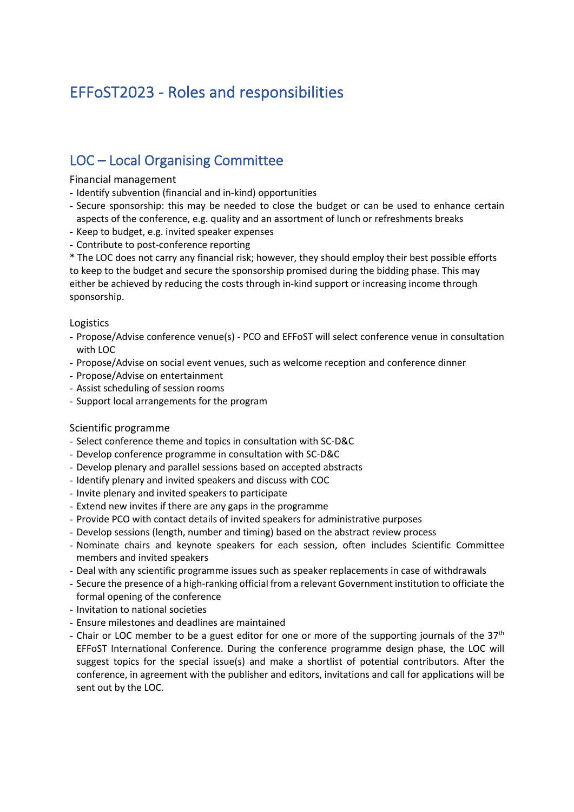# EFFoST2023 - Roles and responsibilities

## LOC – Local Organising Committee

### Financial management

- Identify subvention (financial and in-kind) opportunities
- Secure sponsorship: this may be needed to close the budget or can be used to enhance certain aspects of the conference, e.g. quality and an assortment of lunch or refreshments breaks
- Keep to budget, e.g. invited speaker expenses
- Contribute to post-conference reporting

\* The LOC does not carry any financial risk; however, they should employ their best possible efforts to keep to the budget and secure the sponsorship promised during the bidding phase. This may either be achieved by reducing the costs through in-kind support or increasing income through sponsorship.

#### Logistics

- Propose/Advise conference venue(s) PCO and EFFoST will select conference venue in consultation with LOC
- Propose/Advise on social event venues, such as welcome reception and conference dinner
- Propose/Advise on entertainment
- Assist scheduling of session rooms
- Support local arrangements for the program

## Scientific programme

- Select conference theme and topics in consultation with SC-D&C
- Develop conference programme in consultation with SC-D&C
- Develop plenary and parallel sessions based on accepted abstracts
- Identify plenary and invited speakers and discuss with COC
- Invite plenary and invited speakers to participate
- Extend new invites if there are any gaps in the programme
- Provide PCO with contact details of invited speakers for administrative purposes
- Develop sessions (length, number and timing) based on the abstract review process
- Nominate chairs and keynote speakers for each session, often includes Scientific Committee members and invited speakers
- Deal with any scientific programme issues such as speaker replacements in case of withdrawals
- Secure the presence of a high-ranking official from a relevant Government institution to officiate the formal opening of the conference
- Invitation to national societies
- Ensure milestones and deadlines are maintained
- Chair or LOC member to be a guest editor for one or more of the supporting journals of the  $37<sup>th</sup>$ EFFoST International Conference. During the conference programme design phase, the LOC will suggest topics for the special issue(s) and make a shortlist of potential contributors. After the conference, in agreement with the publisher and editors, invitations and call for applications will be sent out by the LOC.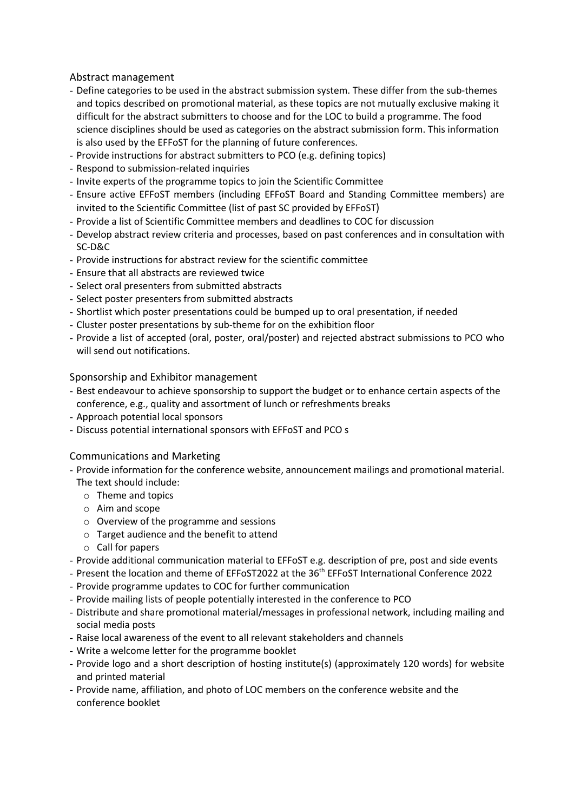Abstract management

- Define categories to be used in the abstract submission system. These differ from the sub-themes and topics described on promotional material, as these topics are not mutually exclusive making it difficult for the abstract submitters to choose and for the LOC to build a programme. The food science disciplines should be used as categories on the abstract submission form. This information is also used by the EFFoST for the planning of future conferences.
- Provide instructions for abstract submitters to PCO (e.g. defining topics)
- Respond to submission-related inquiries
- Invite experts of the programme topics to join the Scientific Committee
- Ensure active EFFoST members (including EFFoST Board and Standing Committee members) are invited to the Scientific Committee (list of past SC provided by EFFoST)
- Provide a list of Scientific Committee members and deadlines to COC for discussion
- Develop abstract review criteria and processes, based on past conferences and in consultation with SC-D&C
- Provide instructions for abstract review for the scientific committee
- Ensure that all abstracts are reviewed twice
- Select oral presenters from submitted abstracts
- Select poster presenters from submitted abstracts
- Shortlist which poster presentations could be bumped up to oral presentation, if needed
- Cluster poster presentations by sub-theme for on the exhibition floor
- Provide a list of accepted (oral, poster, oral/poster) and rejected abstract submissions to PCO who will send out notifications.

#### Sponsorship and Exhibitor management

- Best endeavour to achieve sponsorship to support the budget or to enhance certain aspects of the conference, e.g., quality and assortment of lunch or refreshments breaks
- Approach potential local sponsors
- Discuss potential international sponsors with EFFoST and PCO s

#### Communications and Marketing

- Provide information for the conference website, announcement mailings and promotional material. The text should include:

- o Theme and topics
- o Aim and scope
- o Overview of the programme and sessions
- o Target audience and the benefit to attend
- o Call for papers
- Provide additional communication material to EFFoST e.g. description of pre, post and side events
- Present the location and theme of EFFoST2022 at the 36<sup>th</sup> EFFoST International Conference 2022
- Provide programme updates to COC for further communication
- Provide mailing lists of people potentially interested in the conference to PCO
- Distribute and share promotional material/messages in professional network, including mailing and social media posts
- Raise local awareness of the event to all relevant stakeholders and channels
- Write a welcome letter for the programme booklet
- Provide logo and a short description of hosting institute(s) (approximately 120 words) for website and printed material
- Provide name, affiliation, and photo of LOC members on the conference website and the conference booklet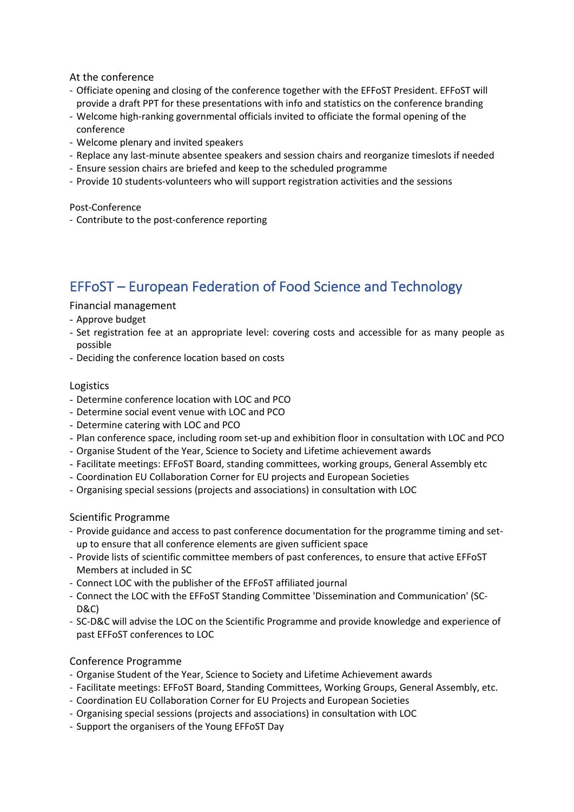## At the conference

- Officiate opening and closing of the conference together with the EFFoST President. EFFoST will provide a draft PPT for these presentations with info and statistics on the conference branding
- Welcome high-ranking governmental officials invited to officiate the formal opening of the conference
- Welcome plenary and invited speakers
- Replace any last-minute absentee speakers and session chairs and reorganize timeslots if needed
- Ensure session chairs are briefed and keep to the scheduled programme
- Provide 10 students-volunteers who will support registration activities and the sessions

Post-Conference

- Contribute to the post-conference reporting

## EFFoST – European Federation of Food Science and Technology

Financial management

- Approve budget
- Set registration fee at an appropriate level: covering costs and accessible for as many people as possible
- Deciding the conference location based on costs

#### Logistics

- Determine conference location with LOC and PCO
- Determine social event venue with LOC and PCO
- Determine catering with LOC and PCO
- Plan conference space, including room set-up and exhibition floor in consultation with LOC and PCO
- Organise Student of the Year, Science to Society and Lifetime achievement awards
- Facilitate meetings: EFFoST Board, standing committees, working groups, General Assembly etc
- Coordination EU Collaboration Corner for EU projects and European Societies
- Organising special sessions (projects and associations) in consultation with LOC

#### Scientific Programme

- Provide guidance and access to past conference documentation for the programme timing and setup to ensure that all conference elements are given sufficient space
- Provide lists of scientific committee members of past conferences, to ensure that active EFFoST Members at included in SC
- Connect LOC with the publisher of the EFFoST affiliated journal
- Connect the LOC with the EFFoST Standing Committee 'Dissemination and Communication' (SC-D&C)
- SC-D&C will advise the LOC on the Scientific Programme and provide knowledge and experience of past EFFoST conferences to LOC

## Conference Programme

- Organise Student of the Year, Science to Society and Lifetime Achievement awards
- Facilitate meetings: EFFoST Board, Standing Committees, Working Groups, General Assembly, etc.
- Coordination EU Collaboration Corner for EU Projects and European Societies
- Organising special sessions (projects and associations) in consultation with LOC
- Support the organisers of the Young EFFoST Day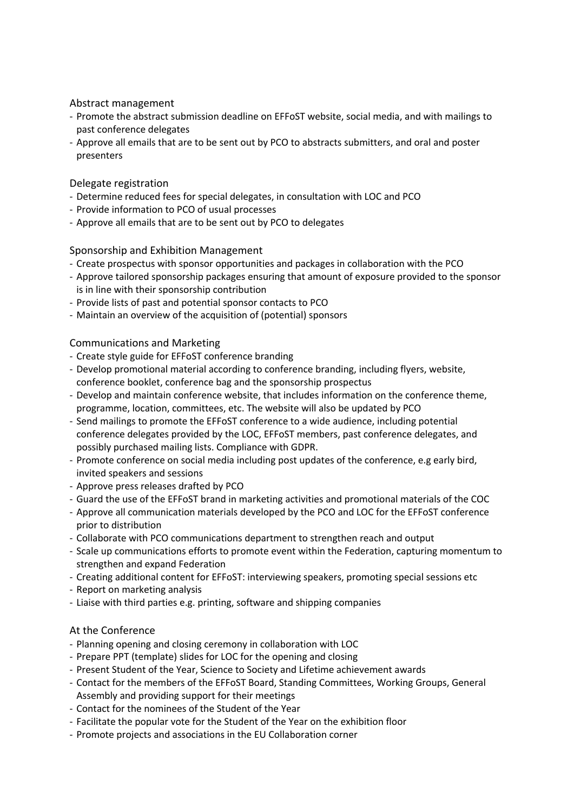## Abstract management

- Promote the abstract submission deadline on EFFoST website, social media, and with mailings to past conference delegates
- Approve all emails that are to be sent out by PCO to abstracts submitters, and oral and poster presenters

## Delegate registration

- Determine reduced fees for special delegates, in consultation with LOC and PCO
- Provide information to PCO of usual processes
- Approve all emails that are to be sent out by PCO to delegates

## Sponsorship and Exhibition Management

- Create prospectus with sponsor opportunities and packages in collaboration with the PCO
- Approve tailored sponsorship packages ensuring that amount of exposure provided to the sponsor is in line with their sponsorship contribution
- Provide lists of past and potential sponsor contacts to PCO
- Maintain an overview of the acquisition of (potential) sponsors

## Communications and Marketing

- Create style guide for EFFoST conference branding
- Develop promotional material according to conference branding, including flyers, website, conference booklet, conference bag and the sponsorship prospectus
- Develop and maintain conference website, that includes information on the conference theme, programme, location, committees, etc. The website will also be updated by PCO
- Send mailings to promote the EFFoST conference to a wide audience, including potential conference delegates provided by the LOC, EFFoST members, past conference delegates, and possibly purchased mailing lists. Compliance with GDPR.
- Promote conference on social media including post updates of the conference, e.g early bird, invited speakers and sessions
- Approve press releases drafted by PCO
- Guard the use of the EFFoST brand in marketing activities and promotional materials of the COC
- Approve all communication materials developed by the PCO and LOC for the EFFoST conference prior to distribution
- Collaborate with PCO communications department to strengthen reach and output
- Scale up communications efforts to promote event within the Federation, capturing momentum to strengthen and expand Federation
- Creating additional content for EFFoST: interviewing speakers, promoting special sessions etc
- Report on marketing analysis
- Liaise with third parties e.g. printing, software and shipping companies

## At the Conference

- Planning opening and closing ceremony in collaboration with LOC
- Prepare PPT (template) slides for LOC for the opening and closing
- Present Student of the Year, Science to Society and Lifetime achievement awards
- Contact for the members of the EFFoST Board, Standing Committees, Working Groups, General Assembly and providing support for their meetings
- Contact for the nominees of the Student of the Year
- Facilitate the popular vote for the Student of the Year on the exhibition floor
- Promote projects and associations in the EU Collaboration corner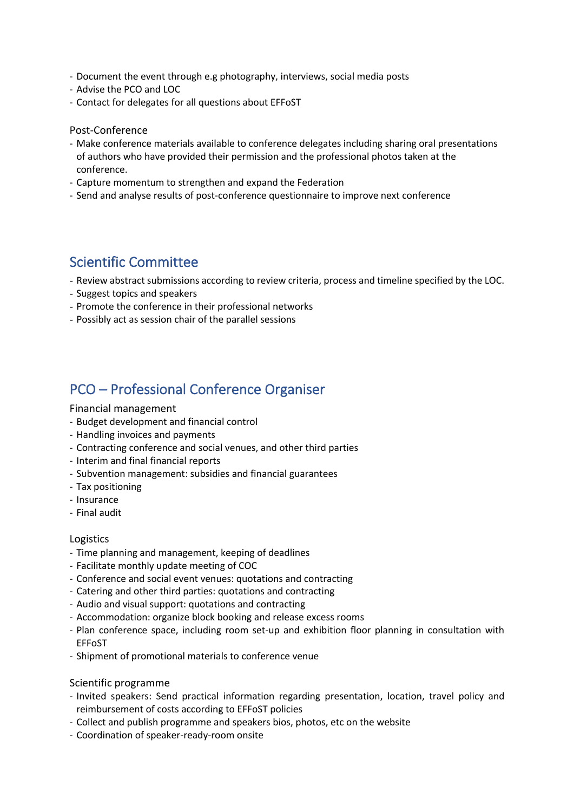- Document the event through e.g photography, interviews, social media posts
- Advise the PCO and LOC
- Contact for delegates for all questions about EFFoST

### Post-Conference

- Make conference materials available to conference delegates including sharing oral presentations of authors who have provided their permission and the professional photos taken at the conference.
- Capture momentum to strengthen and expand the Federation
- Send and analyse results of post-conference questionnaire to improve next conference

## Scientific Committee

- Review abstract submissions according to review criteria, process and timeline specified by the LOC.
- Suggest topics and speakers
- Promote the conference in their professional networks
- Possibly act as session chair of the parallel sessions

## PCO – Professional Conference Organiser

#### Financial management

- Budget development and financial control
- Handling invoices and payments
- Contracting conference and social venues, and other third parties
- Interim and final financial reports
- Subvention management: subsidies and financial guarantees
- Tax positioning
- Insurance
- Final audit

## Logistics

- Time planning and management, keeping of deadlines
- Facilitate monthly update meeting of COC
- Conference and social event venues: quotations and contracting
- Catering and other third parties: quotations and contracting
- Audio and visual support: quotations and contracting
- Accommodation: organize block booking and release excess rooms
- Plan conference space, including room set-up and exhibition floor planning in consultation with EFFoST
- Shipment of promotional materials to conference venue

## Scientific programme

- Invited speakers: Send practical information regarding presentation, location, travel policy and reimbursement of costs according to EFFoST policies
- Collect and publish programme and speakers bios, photos, etc on the website
- Coordination of speaker-ready-room onsite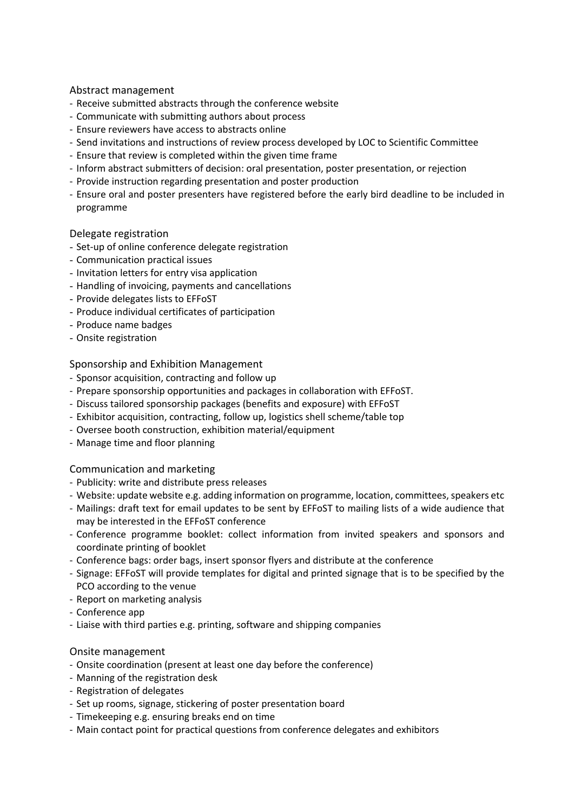### Abstract management

- Receive submitted abstracts through the conference website
- Communicate with submitting authors about process
- Ensure reviewers have access to abstracts online
- Send invitations and instructions of review process developed by LOC to Scientific Committee
- Ensure that review is completed within the given time frame
- Inform abstract submitters of decision: oral presentation, poster presentation, or rejection
- Provide instruction regarding presentation and poster production
- Ensure oral and poster presenters have registered before the early bird deadline to be included in programme

#### Delegate registration

- Set-up of online conference delegate registration
- Communication practical issues
- Invitation letters for entry visa application
- Handling of invoicing, payments and cancellations
- Provide delegates lists to EFFoST
- Produce individual certificates of participation
- Produce name badges
- Onsite registration

### Sponsorship and Exhibition Management

- Sponsor acquisition, contracting and follow up
- Prepare sponsorship opportunities and packages in collaboration with EFFoST.
- Discuss tailored sponsorship packages (benefits and exposure) with EFFoST
- Exhibitor acquisition, contracting, follow up, logistics shell scheme/table top
- Oversee booth construction, exhibition material/equipment
- Manage time and floor planning

#### Communication and marketing

- Publicity: write and distribute press releases
- Website: update website e.g. adding information on programme, location, committees, speakers etc
- Mailings: draft text for email updates to be sent by EFFoST to mailing lists of a wide audience that may be interested in the EFFoST conference
- Conference programme booklet: collect information from invited speakers and sponsors and coordinate printing of booklet
- Conference bags: order bags, insert sponsor flyers and distribute at the conference
- Signage: EFFoST will provide templates for digital and printed signage that is to be specified by the PCO according to the venue
- Report on marketing analysis
- Conference app
- Liaise with third parties e.g. printing, software and shipping companies

## Onsite management

- Onsite coordination (present at least one day before the conference)
- Manning of the registration desk
- Registration of delegates
- Set up rooms, signage, stickering of poster presentation board
- Timekeeping e.g. ensuring breaks end on time
- Main contact point for practical questions from conference delegates and exhibitors